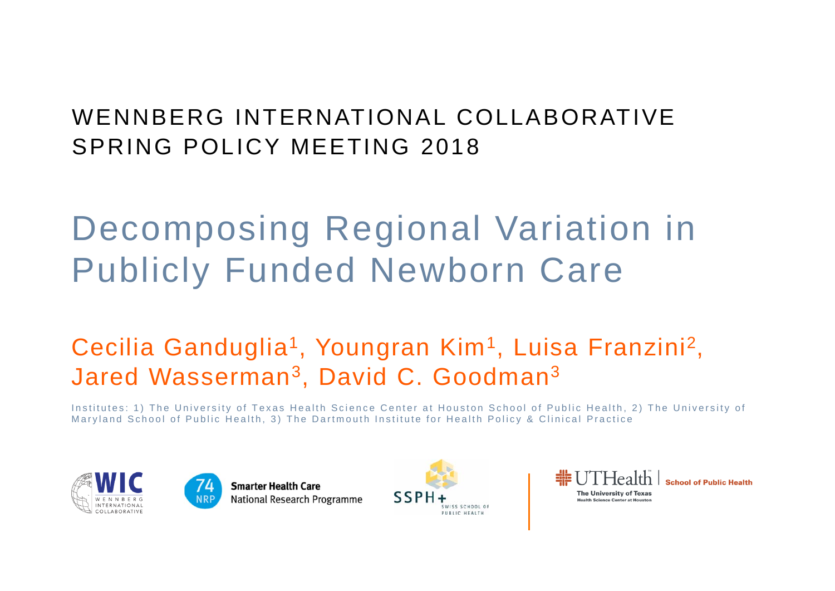### WENNBERG INTERNATIONAL COLLABORATIVESPRING POLICY MEETING 2018

## Decomposing Regional Variation in Publicly Funded Newborn Care

### Cecilia Ganduglia<sup>1</sup>, Youngran Kim<sup>1</sup>, Luisa Franzini<sup>2</sup>, Jared Wasserman 3, David C. Goodman 3

Institutes: 1) The University of Texas Health Science Center at Houston School of Public Health, 2) The University of Maryland School of Public Health, 3) The Dartmouth Institute for Health Policy & Clinical Practice





**Smarter Health Care National Research Programme** 



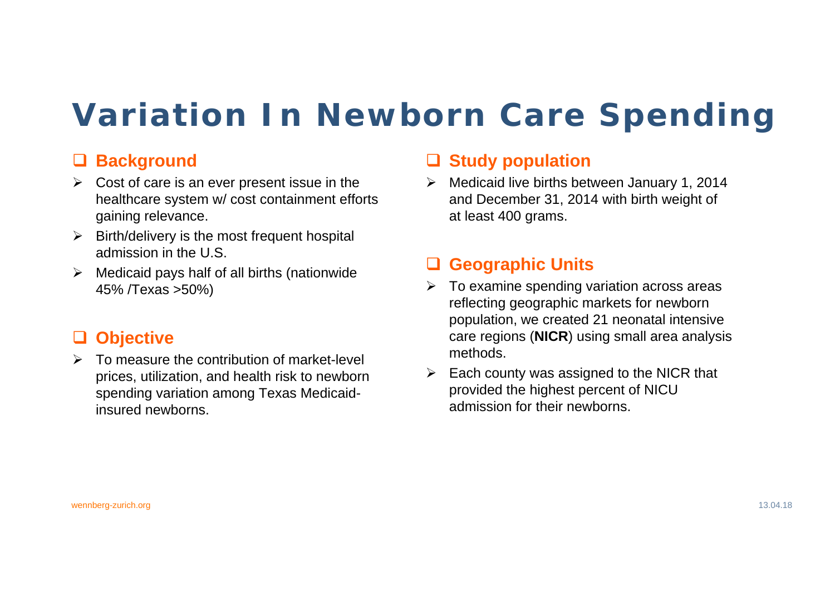## **Variation In Newborn Care Spending**

#### **Background**

- $\triangleright$  Cost of care is an ever present issue in the healthcare system w/ cost containment efforts gaining relevance.
- $\triangleright$  Birth/delivery is the most frequent hospital admission in the U.S.
- $\blacktriangleright$  Medicaid pays half of all births (nationwide 45% /Texas >50%)

#### **Objective**

 $\triangleright$  To measure the contribution of market-level prices, utilization, and health risk to newborn spending variation among Texas Medicaidinsured newborns.

#### **Study population**

 $\blacktriangleright$  Medicaid live births between January 1, 2014 and December 31, 2014 with birth weight of at least 400 grams.

#### **Geographic Units**

- $\triangleright$  To examine spending variation across areas reflecting geographic markets for newborn population, we created 21 neonatal intensive care regions (**NICR**) using small area analysis methods.
- $\triangleright$  Each county was assigned to the NICR that provided the highest percent of NICU admission for their newborns.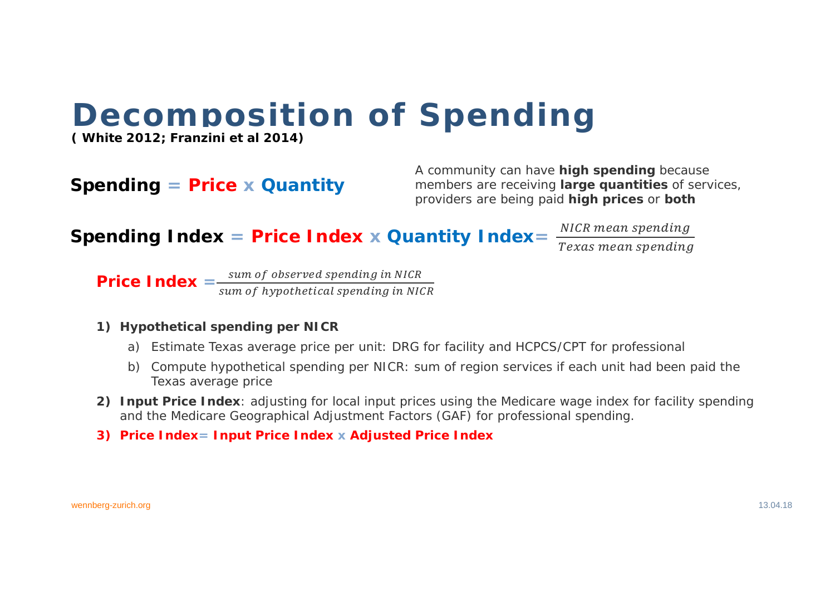## **Decomposition of Spending**

(White 2012; Franzini et al 2014)

#### **Spending = Price x Quantity**

A community can have **high spending** because members are receiving large quantities of services, providers are being paid high prices or both

Spending Index = Price Index x Quantity Index =  $\frac{NICR \text{ mean spending}}{T}$ 

Texas mean spending

**Price Index**  $=$   $\frac{sum\ of\ observed\ spending\ in\ NICR}{sum\ of\ hypothetical\ spending\ in\ NICR}$ 

#### 1) Hypothetical spending per NICR

- a) Estimate Texas average price per unit: DRG for facility and HCPCS/CPT for professional
- b) Compute hypothetical spending per NICR: sum of region services if each unit had been paid the Texas average price
- 2) Input Price Index: adjusting for local input prices using the Medicare wage index for facility spending and the Medicare Geographical Adjustment Factors (GAF) for professional spending.
- 3) Price Index = Input Price Index x Adiusted Price Index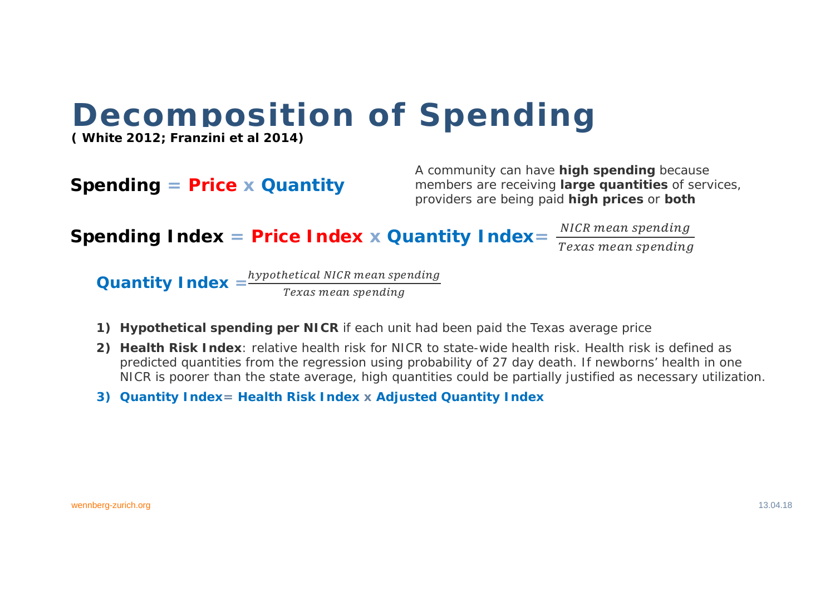## **Decomposition of Spending**

(White 2012; Franzini et al 2014)

#### **Spending = Price x Quantity**

A community can have **high spending** because members are receiving large quantities of services, providers are being paid high prices or both

Spending Index = Price Index x Quantity Index =

NICR mean spending

Texas mean spending

**Quantity Index**  $=$   $\frac{hypothetical NICR mean spending}{P}$ Texas mean spending

- 1) Hypothetical spending per NICR if each unit had been paid the Texas average price
- 2) Health Risk Index: relative health risk for NICR to state-wide health risk. Health risk is defined as predicted quantities from the regression using probability of 27 day death. If newborns' health in one NICR is poorer than the state average, high quantities could be partially justified as necessary utilization.
- 3) Quantity Index = Health Risk Index x Adiusted Quantity Index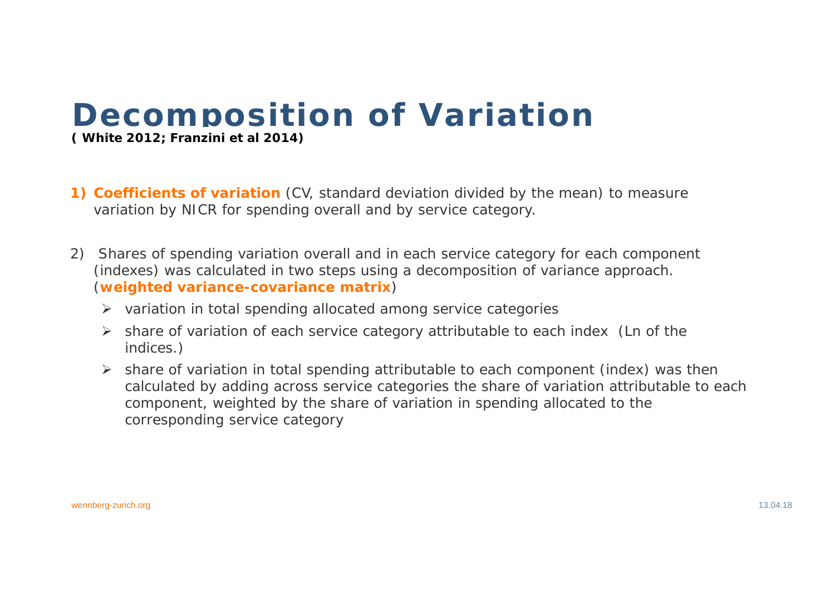# **Decomposition of Variation ( White 2012; Franzini et al 2014)**

- **1) Coefficients of variation** (CV, standard deviation divided by the mean) to measure variation by NICR for spending overall and by service category.
- 2) Shares of spending variation overall and in each service category for each component (indexes) was calculated in two steps using a decomposition of variance approach. (**weighted variance-covariance matrix**)
	- $\triangleright$  variation in total spending allocated among service categories
	- share of variation of each service category attributable to each index (Ln of the indices.)
	- share of variation in total spending attributable to each component (index) was then calculated by adding across service categories the share of variation attributable to each component, weighted by the share of variation in spending allocated to the corresponding service category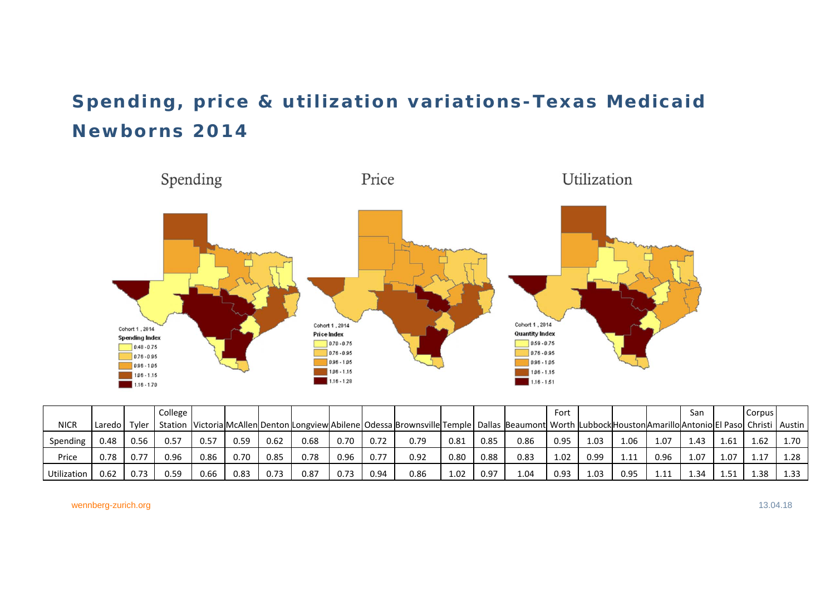### **Spending, price & utilization variations-Texas Medicaid Newborns 2014**



|             |          |       | College |      |      |      |      |      |      |                                                                                                                                                        |      |      |      | Fort |      |              |      | San  |      | Corpus |          |
|-------------|----------|-------|---------|------|------|------|------|------|------|--------------------------------------------------------------------------------------------------------------------------------------------------------|------|------|------|------|------|--------------|------|------|------|--------|----------|
| NICR        | Laredo l | Tyler |         |      |      |      |      |      |      | Station  Victoria McAllen Denton Longview Abilene Odessa Brownsville Temple Dallas  Beaumont  Worth  Lubbock Houston Amarillo Antonio El Paso  Christi |      |      |      |      |      |              |      |      |      |        | l Austin |
| Spending    | 0.48     | 0.56  | 0.57    | 0.57 | 0.59 | 0.62 | 0.68 | 0.70 | 0.72 | 0.79                                                                                                                                                   | 0.81 | 0.85 | 0.86 | 0.95 | 1.03 | 1.06         | 1.07 | 1.43 | 1.61 | 1.62   | 1.70     |
| Price       | 0.78     | 0.77  | 0.96    | 0.86 | 0.70 | 0.85 | 0.78 | 0.96 | 0.77 | 0.92                                                                                                                                                   | 0.80 | 0.88 | 0.83 | 1.02 | 0.99 | $\mathbf{1}$ | 0.96 | ۔07  | 1.07 | 1.17   | 1.28     |
| Utilization | ).62     | 0.73  | 0.59    | 0.66 | 0.83 | 0.73 | 0.87 | 0.73 | 0.94 | 0.86                                                                                                                                                   | 1.02 | 0.97 | 1.04 | 0.93 | 1.03 | 0.95         |      | 34ء۔ | -51  | 38     | 1.33     |

wennberg-zurich.org 13.04.18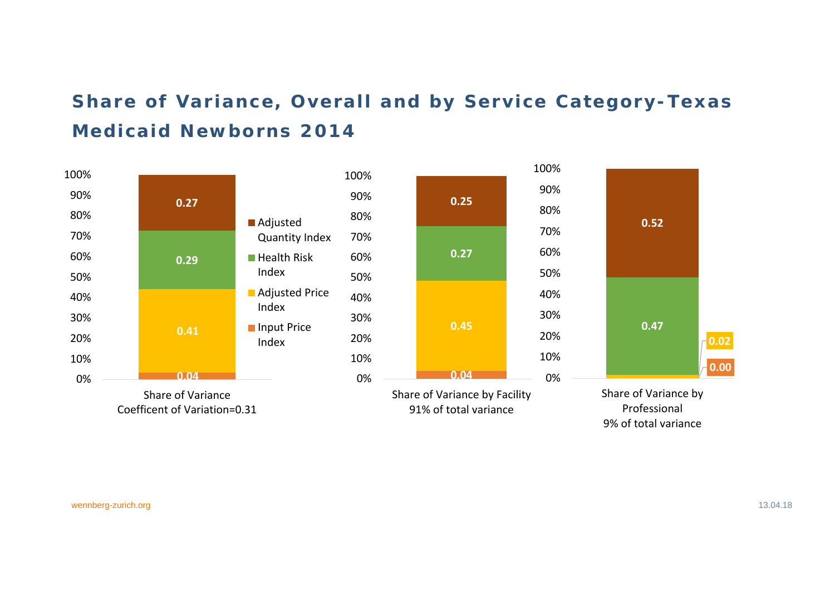### **Share of Variance, Overall and by Service Category-Texas Medicaid Newborns 2014**